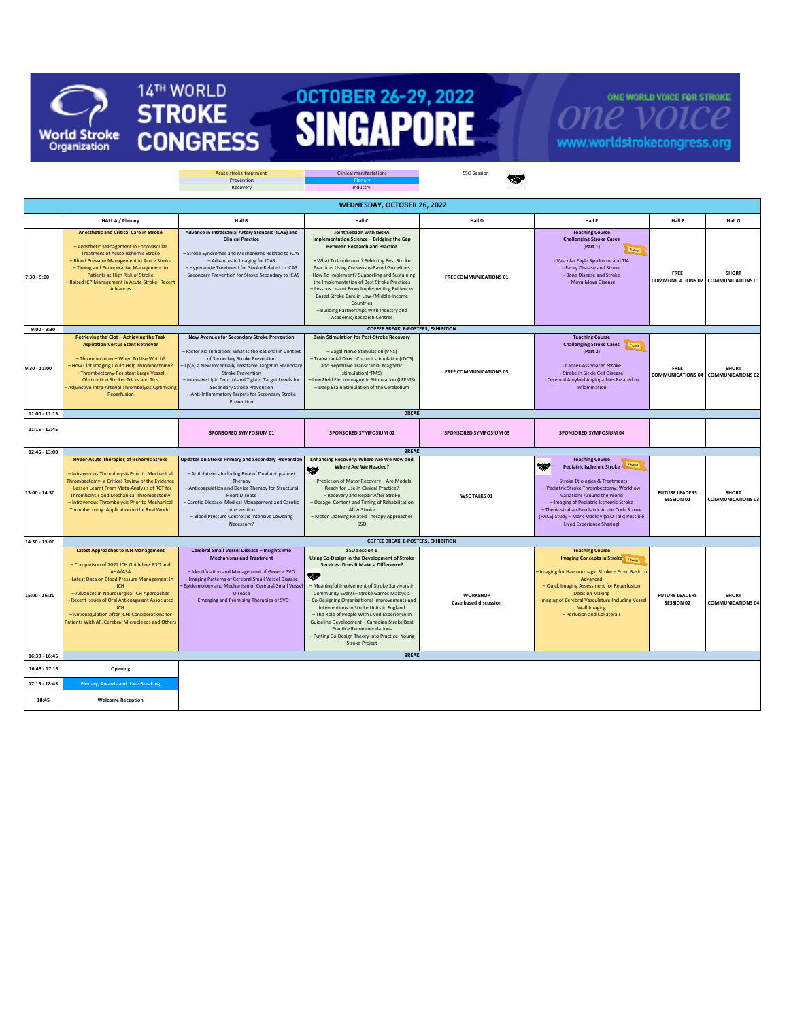

14TH WORLD

**STROKE** 

**CONGRESS** 

## OCTOBER 26-29, 2022

ONE WORLD VOICE FOR STROKE **one**  ${\cal V}$ www.worldstrokecongress.org

|                 |                                                                                                                                                                                                                                                                                                                                                                               | Acute stroke treatment                                                                                                                                                                                                                                                                                                                                                                       | <b>Clinical manifestations</b>                                                                                                                                                                                                                                                                                                                                                                                                                                                                                       | SSO Session                                     |                                                                                                                                                                                                                                                                                                                                                                                   |                                     |                                                            |  |  |
|-----------------|-------------------------------------------------------------------------------------------------------------------------------------------------------------------------------------------------------------------------------------------------------------------------------------------------------------------------------------------------------------------------------|----------------------------------------------------------------------------------------------------------------------------------------------------------------------------------------------------------------------------------------------------------------------------------------------------------------------------------------------------------------------------------------------|----------------------------------------------------------------------------------------------------------------------------------------------------------------------------------------------------------------------------------------------------------------------------------------------------------------------------------------------------------------------------------------------------------------------------------------------------------------------------------------------------------------------|-------------------------------------------------|-----------------------------------------------------------------------------------------------------------------------------------------------------------------------------------------------------------------------------------------------------------------------------------------------------------------------------------------------------------------------------------|-------------------------------------|------------------------------------------------------------|--|--|
|                 |                                                                                                                                                                                                                                                                                                                                                                               | Prevention<br>Recovery                                                                                                                                                                                                                                                                                                                                                                       | Industry                                                                                                                                                                                                                                                                                                                                                                                                                                                                                                             |                                                 |                                                                                                                                                                                                                                                                                                                                                                                   |                                     |                                                            |  |  |
|                 |                                                                                                                                                                                                                                                                                                                                                                               |                                                                                                                                                                                                                                                                                                                                                                                              |                                                                                                                                                                                                                                                                                                                                                                                                                                                                                                                      |                                                 |                                                                                                                                                                                                                                                                                                                                                                                   |                                     |                                                            |  |  |
|                 | WEDNESDAY, OCTOBER 26, 2022                                                                                                                                                                                                                                                                                                                                                   |                                                                                                                                                                                                                                                                                                                                                                                              |                                                                                                                                                                                                                                                                                                                                                                                                                                                                                                                      |                                                 |                                                                                                                                                                                                                                                                                                                                                                                   |                                     |                                                            |  |  |
|                 | <b>HALL A / Plenary</b>                                                                                                                                                                                                                                                                                                                                                       | Hall B                                                                                                                                                                                                                                                                                                                                                                                       | Hall C                                                                                                                                                                                                                                                                                                                                                                                                                                                                                                               | Hall D                                          | Hall E                                                                                                                                                                                                                                                                                                                                                                            | Hall F                              | Hall G                                                     |  |  |
| 7:30 - 9:00     | <b>Anesthetic and Critical Care in Stroke</b><br>- Anesthetic Management in Endovascular<br><b>Treatment of Acute Ischemic Stroke</b><br>- Blood Pressure Management in Acute Stroke<br>- Timing and Perioperative Management to<br>Patients at High Risk of Stroke<br>- Raised ICP Management in Acute Stroke- Recent<br>Advances                                            | Advance in Intracranial Artery Stenosis (ICAS) and<br><b>Clinical Practice</b><br>- Stroke Syndromes and Mechanisms Related to ICAS<br>- Advances in Imaging for ICAS<br>- Hyperacute Treatment for Stroke Related to ICAS<br>- Secondary Prevention for Stroke Secondary to ICAS                                                                                                            | Joint Session with ISRRA<br>Implementation Science - Bridging the Gap<br><b>Between Research and Practice</b><br>- What To Implement? Selecting Best Stroke<br><b>Practices Using Consensus-Based Guidelines</b><br>How To Implement? Supporting and Sustaining<br>the Implementation of Best Stroke Practices<br>- Lessons Learnt From Implementing Evidence-<br>Based Stroke Care in Low-/Middle-Income<br>Countries<br>- Building Partnerships With Industry and<br>Academic/Research Centres                     | FREE COMMUNICATIONS 01                          | <b>Teaching Course</b><br><b>Challenging Stroke Cases</b><br>(Part 1)<br>Ticket<br>- Vascular Eagle Syndrome and TIA<br>- Fabry Disease and Stroke<br>- Bone Disease and Stroke<br>- Moya Moya Disease                                                                                                                                                                            | FREE                                | <b>SHORT</b><br>COMMUNICATIONS 02 COMMUNICATIONS 01        |  |  |
| $9:00 - 9:30$   |                                                                                                                                                                                                                                                                                                                                                                               |                                                                                                                                                                                                                                                                                                                                                                                              | <b>COFFEE BREAK, E-POSTERS, EXHIBITION</b>                                                                                                                                                                                                                                                                                                                                                                                                                                                                           |                                                 |                                                                                                                                                                                                                                                                                                                                                                                   |                                     |                                                            |  |  |
| $9:30 - 11:00$  | Retrieving the Clot - Achieving the Task<br><b>Aspiration Versus Stent Retriever</b><br>- Thrombectomy - When To Use Which?<br>- How Clot Imaging Could Help Thrombectomy?<br>- Thrombectomy-Resistant Large Vessel<br><b>Obstruction Stroke- Tricks and Tips</b><br>Adjunctive Intra-Arterial Thrombolysis Optimizing<br>Reperfusion                                         | New Avenues for Secondary Stroke Prevention<br>- Factor XIa Inhibition: What Is the Rational in Context<br>of Secondary Stroke Prevention<br>- Lp(a) a New Potentially Treatable Target in Secondary<br><b>Stroke Prevention</b><br>- Intensive Lipid Control and Tighter Target Levels for<br>Secondary Stroke Prevention<br>- Anti-Inflammatory Targets for Secondary Stroke<br>Prevention | <b>Brain Stimulation for Post-Stroke Recovery</b><br>- Vagal Nerve Stimulation (VNS)<br>- Transcranial Direct Current stimulation(tDCS)<br>and Repetitive Transcranial Magnetic<br>stimulation(rTMS)<br>- Low Field Electromagnetic Stimulation (LFEMS)<br>- Deep Brain Stimulation of the Cerebellum                                                                                                                                                                                                                | <b>FREE COMMUNICATIONS 03</b>                   | <b>Teaching Course</b><br><b>Challenging Stroke Cases</b> Themet<br>(Part 2)<br>- Cancer-Associated Stroke<br>- Stroke in Sickle Cell Disease<br>- Cerebral Amyloid Angiopathies Related to<br>Inflammation                                                                                                                                                                       | FRFF                                | <b>SHORT</b><br><b>COMMUNICATIONS 04 COMMUNICATIONS 02</b> |  |  |
| $11:00 - 11:15$ |                                                                                                                                                                                                                                                                                                                                                                               |                                                                                                                                                                                                                                                                                                                                                                                              | <b>BREAK</b>                                                                                                                                                                                                                                                                                                                                                                                                                                                                                                         |                                                 |                                                                                                                                                                                                                                                                                                                                                                                   |                                     |                                                            |  |  |
| $11:15 - 12:45$ |                                                                                                                                                                                                                                                                                                                                                                               | SPONSORED SYMPOSIUM 01                                                                                                                                                                                                                                                                                                                                                                       | SPONSORED SYMPOSIUM 02                                                                                                                                                                                                                                                                                                                                                                                                                                                                                               | <b>SPONSORED SYMPOSIUM 03</b>                   | SPONSORED SYMPOSIUM 04                                                                                                                                                                                                                                                                                                                                                            |                                     |                                                            |  |  |
| $12:45 - 13:00$ |                                                                                                                                                                                                                                                                                                                                                                               |                                                                                                                                                                                                                                                                                                                                                                                              | <b>BREAK</b>                                                                                                                                                                                                                                                                                                                                                                                                                                                                                                         |                                                 |                                                                                                                                                                                                                                                                                                                                                                                   |                                     |                                                            |  |  |
| 13:00 - 14:30   | <b>Hyper-Acute Therapies of Ischemic Stroke</b><br>- Intravenous Thrombolysis Prior to Mechanical<br>Thrombectomy- a Critical Review of the Evidence<br>- Lesson Learnt From Meta-Analysis of RCT for<br>Thrombolysis and Mechanical Thrombectomy<br>- Intravenous Thrombolysis Prior to Mechanical<br>Thrombectomy: Application in the Real World.                           | <b>Updates on Stroke Primary and Secondary Prevention</b><br>- Antiplatelets Including Role of Dual Antiplatelet<br>Therapy<br>- Anticoagulation and Device Therapy for Structural<br><b>Heart Disease</b><br>- Carotid Disease- Medical Management and Carotid<br>Intervention<br>- Blood Pressure Control: Is Intensive Lowering<br>Necessary?                                             | Enhancing Recovery: Where Are We Now and<br><b>Where Are We Headed?</b><br>- Prediction of Motor Recovery - Are Models<br>Ready for Use in Clinical Practice?<br>- Recovery and Repair After Stroke<br>- Dosage, Content and Timing of Rehabilitation<br>After Stroke<br>- Motor Learning Related Therapy Approaches<br>SSO                                                                                                                                                                                          | <b>WSC TALKS 01</b>                             | <b>Teaching Course</b><br><b>Tickot</b><br>₩<br><b>Pediatric Ischemic Stroke</b><br>- Stroke Etiologies & Treatments<br>- Pediatric Stroke Thrombectomy: Workflow<br>Variations Around the World<br>- Imaging of Pediatric Ischemic Stroke<br>- The Australian Paediatric Acute Code Stroke<br>(PACS) Study - Mark Mackay (SSO Talk; Possible<br><b>Lived Experience Sharing)</b> | <b>FUTURE LEADERS</b><br>SESSION 01 | <b>SHORT</b><br><b>COMMUNICATIONS 03</b>                   |  |  |
| 14:30 - 15:00   |                                                                                                                                                                                                                                                                                                                                                                               |                                                                                                                                                                                                                                                                                                                                                                                              | <b>COFFEE BREAK, E-POSTERS, EXHIBITION</b>                                                                                                                                                                                                                                                                                                                                                                                                                                                                           |                                                 |                                                                                                                                                                                                                                                                                                                                                                                   |                                     |                                                            |  |  |
| 15:00 - 16:30   | <b>Latest Approaches to ICH Management</b><br>- Comparison of 2022 ICH Guideline: ESO and<br>AHA/ASA<br>- Latest Data on Blood Pressure Management in<br><b>ICH</b><br>- Advances in Neurosurgical ICH Approaches<br>- Recent Issues of Oral Anticoagulant Associated<br>- Anticoagulation After ICH: Considerations for<br>Patients With AF, Cerebral Microbleeds and Others | Cerebral Small Vessel Disease - Insights Into<br><b>Mechanisms and Treatment</b><br>- Identification and Management of Genetic SVD<br>- Imaging Patterns of Cerebral Small Vessel Disease<br>Epidemiology and Mechanism of Cerebral Small Vessel<br><b>Disease</b><br>- Emerging and Promising Therapies of SVD                                                                              | SSO Session 1<br>Using Co-Design in the Development of Stroke<br>Services: Does It Make a Difference?<br>∞<br>- Meaningful Involvement of Stroke Survivors in<br>Community Events- Stroke Games Malaysia<br>Co-Designing Organisational Improvements and<br>Interventions in Stroke Units in England<br>- The Role of People With Lived Experience in<br>Guideline Development - Canadian Stroke Best<br><b>Practice Recommendations</b><br>- Putting Co-Design Theory Into Practice- Young<br><b>Stroke Project</b> | <b>WORKSHOP</b><br><b>Case based discussion</b> | <b>Teaching Course</b><br><b>Imaging Concepts in Stroke Ticket</b><br>Imaging for Haemorrhagic Stroke - From Basic to<br>Advanced<br>- Quick Imaging Assessment for Reperfusion<br><b>Decision Making</b><br>Imaging of Cerebral Vasculature Including Vessel<br><b>Wall Imaging</b><br>- Perfusion and Collaterals                                                               | <b>FUTURE LEADERS</b><br>SESSION 02 | <b>SHORT</b><br><b>COMMUNICATIONS 04</b>                   |  |  |
| 16:30 - 16:45   |                                                                                                                                                                                                                                                                                                                                                                               |                                                                                                                                                                                                                                                                                                                                                                                              | <b>BREAK</b>                                                                                                                                                                                                                                                                                                                                                                                                                                                                                                         |                                                 |                                                                                                                                                                                                                                                                                                                                                                                   |                                     |                                                            |  |  |
| $16:45 - 17:15$ | Opening                                                                                                                                                                                                                                                                                                                                                                       |                                                                                                                                                                                                                                                                                                                                                                                              |                                                                                                                                                                                                                                                                                                                                                                                                                                                                                                                      |                                                 |                                                                                                                                                                                                                                                                                                                                                                                   |                                     |                                                            |  |  |
| $17:15 - 18:45$ | <b>Plenary, Awards and Late Breaking</b>                                                                                                                                                                                                                                                                                                                                      |                                                                                                                                                                                                                                                                                                                                                                                              |                                                                                                                                                                                                                                                                                                                                                                                                                                                                                                                      |                                                 |                                                                                                                                                                                                                                                                                                                                                                                   |                                     |                                                            |  |  |
| 18:45           | <b>Welcome Reception</b>                                                                                                                                                                                                                                                                                                                                                      |                                                                                                                                                                                                                                                                                                                                                                                              |                                                                                                                                                                                                                                                                                                                                                                                                                                                                                                                      |                                                 |                                                                                                                                                                                                                                                                                                                                                                                   |                                     |                                                            |  |  |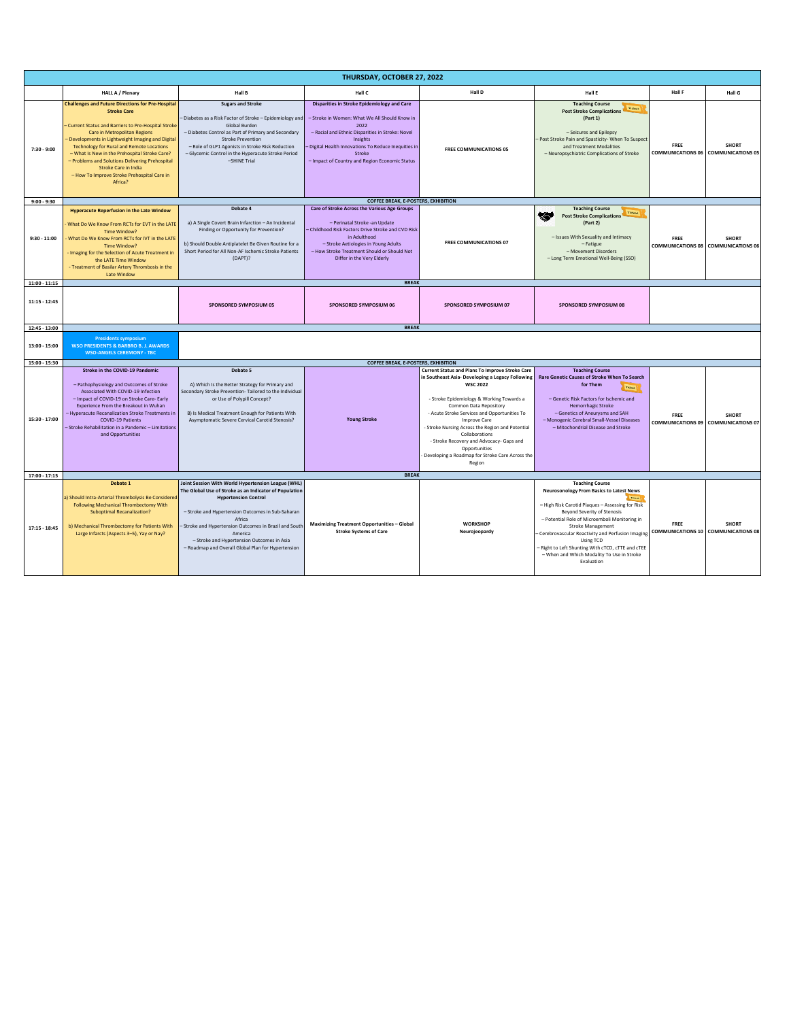| THURSDAY, OCTOBER 27, 2022     |                                                                                                                                                                                                                                                                                                                                                                                                                                                                          |                                                                                                                                                                                                                                                                                                           |                                                                                                                                                                                                                                                                                                 |                                                                                                                                                                                                                                                                                                                                                                                                                                                                             |                                                                                                                                                                                                                                                                                             |                                             |              |  |  |
|--------------------------------|--------------------------------------------------------------------------------------------------------------------------------------------------------------------------------------------------------------------------------------------------------------------------------------------------------------------------------------------------------------------------------------------------------------------------------------------------------------------------|-----------------------------------------------------------------------------------------------------------------------------------------------------------------------------------------------------------------------------------------------------------------------------------------------------------|-------------------------------------------------------------------------------------------------------------------------------------------------------------------------------------------------------------------------------------------------------------------------------------------------|-----------------------------------------------------------------------------------------------------------------------------------------------------------------------------------------------------------------------------------------------------------------------------------------------------------------------------------------------------------------------------------------------------------------------------------------------------------------------------|---------------------------------------------------------------------------------------------------------------------------------------------------------------------------------------------------------------------------------------------------------------------------------------------|---------------------------------------------|--------------|--|--|
|                                | <b>HALL A / Plenary</b>                                                                                                                                                                                                                                                                                                                                                                                                                                                  | Hall B                                                                                                                                                                                                                                                                                                    | Hall C                                                                                                                                                                                                                                                                                          | Hall D                                                                                                                                                                                                                                                                                                                                                                                                                                                                      | Hall E                                                                                                                                                                                                                                                                                      | Hall F                                      | Hall G       |  |  |
| $7:30 - 9:00$                  | <b>Challenges and Future Directions for Pre-Hospital</b><br><b>Stroke Care</b><br>Current Status and Barriers to Pre-Hospital Stroke<br>Care in Metropolitan Regions<br>Developments in Lightweight Imaging and Digital<br><b>Technology for Rural and Remote Locations</b><br>- What Is New in the Prehospital Stroke Care?<br>- Problems and Solutions Delivering Prehospital<br><b>Stroke Care in India</b><br>- How To Improve Stroke Prehospital Care in<br>Africa? | <b>Sugars and Stroke</b><br>Diabetes as a Risk Factor of Stroke - Epidemiology and<br>Global Burden<br>- Diabetes Control as Part of Primary and Secondary<br>Stroke Prevention<br>- Role of GLP1 Agonists in Stroke Risk Reduction<br>- Glycemic Control in the Hyperacute Stroke Period<br>-SHINE Trial | <b>Disparities in Stroke Epidemiology and Care</b><br>- Stroke in Women: What We All Should Know in<br>2022<br>- Racial and Ethnic Disparities in Stroke: Novel<br>Insights<br>- Digital Health Innovations To Reduce Inequities in<br>Stroke<br>- Impact of Country and Region Economic Status | <b>FREE COMMUNICATIONS 05</b>                                                                                                                                                                                                                                                                                                                                                                                                                                               | <b>Teaching Course</b><br><b>Ticket</b><br><b>Post Stroke Complications</b><br>(Part 1)<br>- Seizures and Epilepsy<br>- Post Stroke Pain and Spasticity- When To Suspec<br>and Treatment Modalities<br>- Neuropsychiatric Complications of Stroke                                           | FREE<br>COMMUNICATIONS 06 COMMUNICATIONS 05 | <b>SHORT</b> |  |  |
| $9:00 - 9:30$                  |                                                                                                                                                                                                                                                                                                                                                                                                                                                                          |                                                                                                                                                                                                                                                                                                           | <b>COFFEE BREAK, E-POSTERS, EXHIBITION</b>                                                                                                                                                                                                                                                      |                                                                                                                                                                                                                                                                                                                                                                                                                                                                             |                                                                                                                                                                                                                                                                                             |                                             |              |  |  |
| $9:30 - 11:00$                 | <b>Hyperacute Reperfusion in the Late Window</b><br>What Do We Know From RCTs for EVT in the LATE<br>Time Window?<br>What Do We Know From RCTs for IVT in the LATE<br>Time Window?<br>Imaging for the Selection of Acute Treatment in<br>the LATE Time Window<br>- Treatment of Basilar Artery Thrombosis in the<br><b>Late Window</b>                                                                                                                                   | Debate 4<br>a) A Single Covert Brain Infarction - An Incidental<br>Finding or Opportunity for Prevention?<br>b) Should Double Antiplatelet Be Given Routine for a<br>Short Period for All Non-AF Ischemic Stroke Patients<br>(DAPT)?                                                                      | Care of Stroke Across the Various Age Groups<br>- Perinatal Stroke - an Update<br>- Childhood Risk Factors Drive Stroke and CVD Risk<br>in Adulthood<br>- Stroke Aetiologies in Young Adults<br>- How Stroke Treatment Should or Should Not<br>Differ in the Very Elderly                       | <b>FREE COMMUNICATIONS 07</b>                                                                                                                                                                                                                                                                                                                                                                                                                                               | <b>Teaching Course</b><br><b>Ticket</b><br>≪<br><b>Post Stroke Complications</b><br>(Part 2)<br>- Issues With Sexuality and Intimacy<br>- Fatigue<br>- Movement Disorders<br>- Long Term Emotional Well-Being (SSO)                                                                         | FRFF<br>COMMUNICATIONS 08 COMMUNICATIONS 06 | <b>SHORT</b> |  |  |
| $11:00 - 11:15$                |                                                                                                                                                                                                                                                                                                                                                                                                                                                                          |                                                                                                                                                                                                                                                                                                           | <b>BREAK</b>                                                                                                                                                                                                                                                                                    |                                                                                                                                                                                                                                                                                                                                                                                                                                                                             |                                                                                                                                                                                                                                                                                             |                                             |              |  |  |
| $11:15 - 12:45$                |                                                                                                                                                                                                                                                                                                                                                                                                                                                                          | SPONSORED SYMPOSIUM 05                                                                                                                                                                                                                                                                                    | SPONSORED SYMPOSIUM 06                                                                                                                                                                                                                                                                          | SPONSORED SYMPOSIUM 07                                                                                                                                                                                                                                                                                                                                                                                                                                                      | <b>SPONSORED SYMPOSIUM 08</b>                                                                                                                                                                                                                                                               |                                             |              |  |  |
| 12:45 - 13:00                  |                                                                                                                                                                                                                                                                                                                                                                                                                                                                          |                                                                                                                                                                                                                                                                                                           | <b>BREAK</b>                                                                                                                                                                                                                                                                                    |                                                                                                                                                                                                                                                                                                                                                                                                                                                                             |                                                                                                                                                                                                                                                                                             |                                             |              |  |  |
| 13:00 - 15:00<br>15:00 - 15:30 | <b>Presidents symposium</b><br><b>WSO PRESIDENTS &amp; BARBRO B. J. AWARDS</b><br><b>WSO-ANGELS CEREMONY - TBC</b>                                                                                                                                                                                                                                                                                                                                                       | <b>COFFEE BREAK, E-POSTERS, EXHIBITION</b>                                                                                                                                                                                                                                                                |                                                                                                                                                                                                                                                                                                 |                                                                                                                                                                                                                                                                                                                                                                                                                                                                             |                                                                                                                                                                                                                                                                                             |                                             |              |  |  |
|                                | Stroke in the COVID-19 Pandemic                                                                                                                                                                                                                                                                                                                                                                                                                                          | Debate 5                                                                                                                                                                                                                                                                                                  |                                                                                                                                                                                                                                                                                                 |                                                                                                                                                                                                                                                                                                                                                                                                                                                                             |                                                                                                                                                                                                                                                                                             |                                             |              |  |  |
|                                |                                                                                                                                                                                                                                                                                                                                                                                                                                                                          |                                                                                                                                                                                                                                                                                                           |                                                                                                                                                                                                                                                                                                 |                                                                                                                                                                                                                                                                                                                                                                                                                                                                             |                                                                                                                                                                                                                                                                                             |                                             |              |  |  |
| 15:30 - 17:00                  | - Pathophysiology and Outcomes of Stroke<br>Associated With COVID-19 Infection<br>- Impact of COVID-19 on Stroke Care- Early<br>Experience From the Breakout in Wuhan<br>Hyperacute Recanalization Stroke Treatments in<br><b>COVID-19 Patients</b><br>Stroke Rehabilitation in a Pandemic - Limitations<br>and Opportunities                                                                                                                                            | A) Which Is the Better Strategy for Primary and<br>Secondary Stroke Prevention- Tailored to the Individual<br>or Use of Polypill Concept?<br>B) Is Medical Treatment Enough for Patients With<br>Asymptomatic Severe Cervical Carotid Stenosis?                                                           | <b>Young Stroke</b>                                                                                                                                                                                                                                                                             | <b>Current Status and Plans To Improve Stroke Care</b><br>in Southeast Asia- Developing a Legacy Following<br><b>WSC 2022</b><br>- Stroke Epidemiology & Working Towards a<br>Common Data Repository<br>- Acute Stroke Services and Opportunities To<br><b>Improve Care</b><br>- Stroke Nursing Across the Region and Potential<br>Collaborations<br>- Stroke Recovery and Advocacy- Gaps and<br>Opportunities<br>Developing a Roadmap for Stroke Care Across the<br>Region | <b>Teaching Course</b><br>Rare Genetic Causes of Stroke When To Search<br>for Them<br>Tiessa<br>- Genetic Risk Factors for Ischemic and<br><b>Hemorrhagic Stroke</b><br>- Genetics of Aneurysms and SAH<br>- Monogenic Cerebral Small-Vessel Diseases<br>- Mitochondrial Disease and Stroke | FRFF<br>COMMUNICATIONS 09 COMMUNICATIONS 07 | <b>SHORT</b> |  |  |
| $17:00 - 17:15$                | Debate 1                                                                                                                                                                                                                                                                                                                                                                                                                                                                 | Joint Session With World Hypertension League (WHL)                                                                                                                                                                                                                                                        | <b>BREAK</b>                                                                                                                                                                                                                                                                                    |                                                                                                                                                                                                                                                                                                                                                                                                                                                                             | <b>Teaching Course</b>                                                                                                                                                                                                                                                                      |                                             |              |  |  |